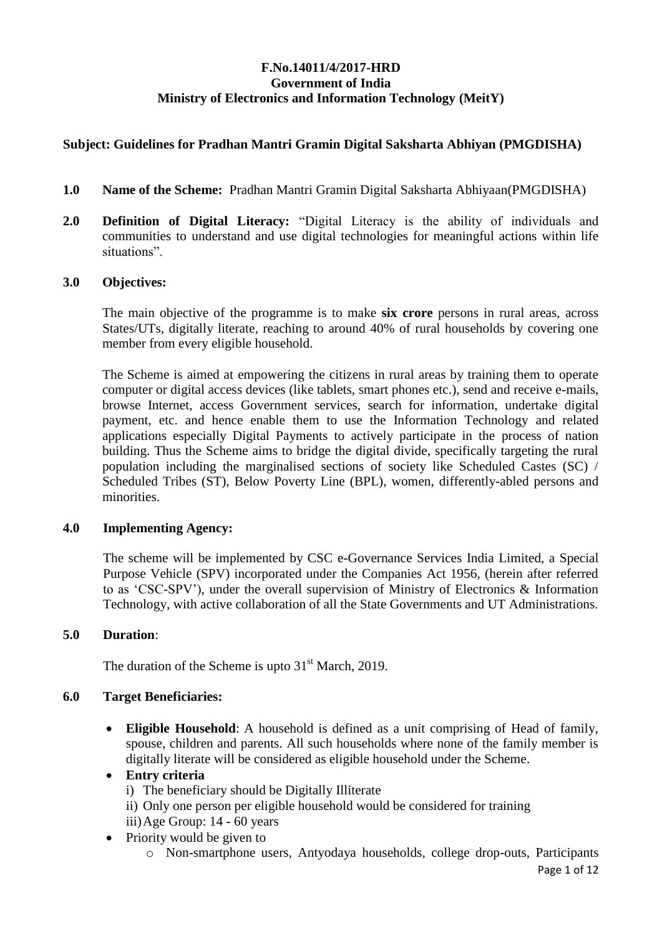## **F.No.14011/4/2017-HRD Government of India Ministry of Electronics and Information Technology (MeitY)**

## **Subject: Guidelines for Pradhan Mantri Gramin Digital Saksharta Abhiyan (PMGDISHA)**

- **1.0 Name of the Scheme:** Pradhan Mantri Gramin Digital Saksharta Abhiyaan(PMGDISHA)
- **2.0 Definition of Digital Literacy:** "Digital Literacy is the ability of individuals and communities to understand and use digital technologies for meaningful actions within life situations".

## **3.0 Objectives:**

The main objective of the programme is to make **six crore** persons in rural areas, across States/UTs, digitally literate, reaching to around 40% of rural households by covering one member from every eligible household.

The Scheme is aimed at empowering the citizens in rural areas by training them to operate computer or digital access devices (like tablets, smart phones etc.), send and receive e-mails, browse Internet, access Government services, search for information, undertake digital payment, etc. and hence enable them to use the Information Technology and related applications especially Digital Payments to actively participate in the process of nation building. Thus the Scheme aims to bridge the digital divide, specifically targeting the rural population including the marginalised sections of society like Scheduled Castes (SC) / Scheduled Tribes (ST), Below Poverty Line (BPL), women, differently-abled persons and minorities.

## **4.0 Implementing Agency:**

The scheme will be implemented by CSC e-Governance Services India Limited, a Special Purpose Vehicle (SPV) incorporated under the Companies Act 1956, (herein after referred to as 'CSC-SPV'), under the overall supervision of Ministry of Electronics & Information Technology, with active collaboration of all the State Governments and UT Administrations.

## **5.0 Duration**:

The duration of the Scheme is upto  $31<sup>st</sup>$  March, 2019.

## **6.0 Target Beneficiaries:**

 **Eligible Household**: A household is defined as a unit comprising of Head of family, spouse, children and parents. All such households where none of the family member is digitally literate will be considered as eligible household under the Scheme.

## **Entry criteria**

i) The beneficiary should be Digitally Illiterate

- ii) Only one person per eligible household would be considered for training
- iii)Age Group: 14 60 years
- Priority would be given to
	- o Non-smartphone users, Antyodaya households, college drop-outs, Participants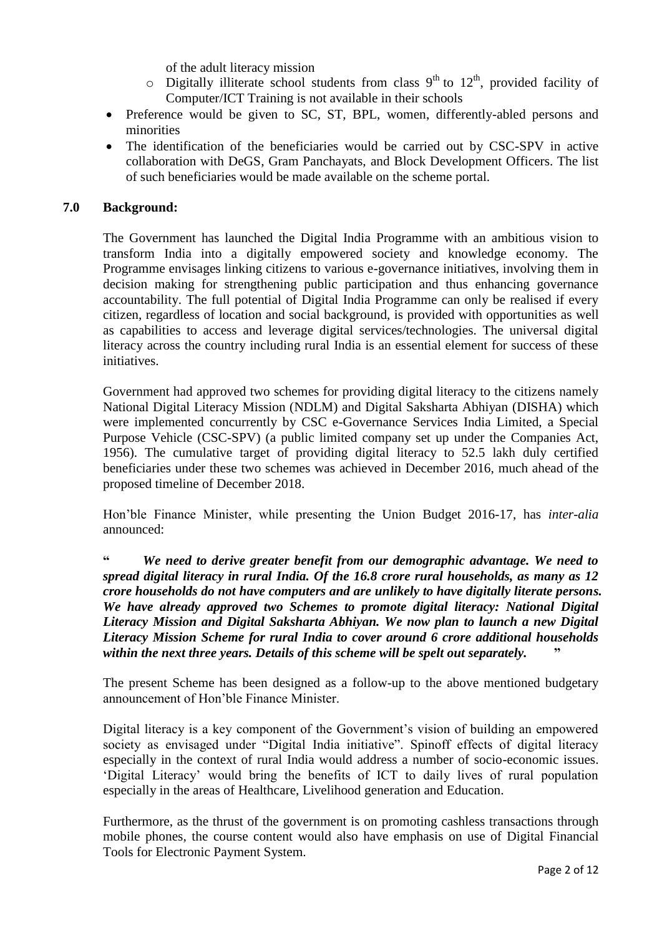of the adult literacy mission

- $\circ$  Digitally illiterate school students from class 9<sup>th</sup> to 12<sup>th</sup>, provided facility of Computer/ICT Training is not available in their schools
- Preference would be given to SC, ST, BPL, women, differently-abled persons and minorities
- The identification of the beneficiaries would be carried out by CSC-SPV in active collaboration with DeGS, Gram Panchayats, and Block Development Officers. The list of such beneficiaries would be made available on the scheme portal.

#### **7.0 Background:**

The Government has launched the Digital India Programme with an ambitious vision to transform India into a digitally empowered society and knowledge economy. The Programme envisages linking citizens to various e-governance initiatives, involving them in decision making for strengthening public participation and thus enhancing governance accountability. The full potential of Digital India Programme can only be realised if every citizen, regardless of location and social background, is provided with opportunities as well as capabilities to access and leverage digital services/technologies. The universal digital literacy across the country including rural India is an essential element for success of these initiatives.

Government had approved two schemes for providing digital literacy to the citizens namely National Digital Literacy Mission (NDLM) and Digital Saksharta Abhiyan (DISHA) which were implemented concurrently by CSC e-Governance Services India Limited, a Special Purpose Vehicle (CSC-SPV) (a public limited company set up under the Companies Act, 1956). The cumulative target of providing digital literacy to 52.5 lakh duly certified beneficiaries under these two schemes was achieved in December 2016, much ahead of the proposed timeline of December 2018.

Hon'ble Finance Minister, while presenting the Union Budget 2016-17, has *inter-alia* announced:

**"** *We need to derive greater benefit from our demographic advantage. We need to spread digital literacy in rural India. Of the 16.8 crore rural households, as many as 12 crore households do not have computers and are unlikely to have digitally literate persons. We have already approved two Schemes to promote digital literacy: National Digital Literacy Mission and Digital Saksharta Abhiyan. We now plan to launch a new Digital Literacy Mission Scheme for rural India to cover around 6 crore additional households within the next three years. Details of this scheme will be spelt out separately.* **"**

The present Scheme has been designed as a follow-up to the above mentioned budgetary announcement of Hon'ble Finance Minister.

Digital literacy is a key component of the Government's vision of building an empowered society as envisaged under "Digital India initiative". Spinoff effects of digital literacy especially in the context of rural India would address a number of socio-economic issues. 'Digital Literacy' would bring the benefits of ICT to daily lives of rural population especially in the areas of Healthcare, Livelihood generation and Education.

Furthermore, as the thrust of the government is on promoting cashless transactions through mobile phones, the course content would also have emphasis on use of Digital Financial Tools for Electronic Payment System.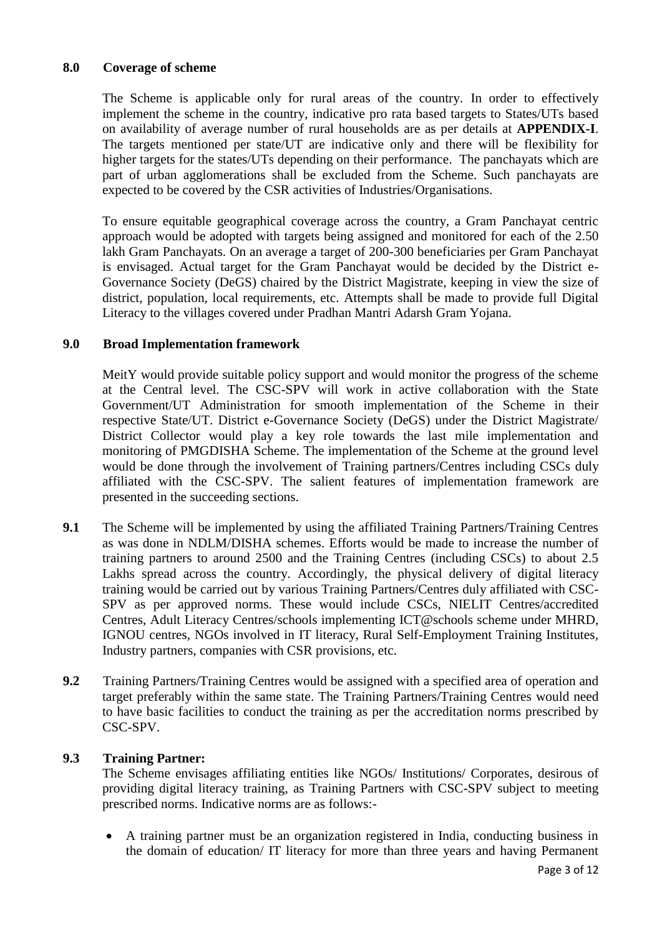## **8.0 Coverage of scheme**

The Scheme is applicable only for rural areas of the country. In order to effectively implement the scheme in the country, indicative pro rata based targets to States/UTs based on availability of average number of rural households are as per details at **APPENDIX-I**. The targets mentioned per state/UT are indicative only and there will be flexibility for higher targets for the states/UTs depending on their performance. The panchayats which are part of urban agglomerations shall be excluded from the Scheme. Such panchayats are expected to be covered by the CSR activities of Industries/Organisations.

To ensure equitable geographical coverage across the country, a Gram Panchayat centric approach would be adopted with targets being assigned and monitored for each of the 2.50 lakh Gram Panchayats. On an average a target of 200-300 beneficiaries per Gram Panchayat is envisaged. Actual target for the Gram Panchayat would be decided by the District e-Governance Society (DeGS) chaired by the District Magistrate, keeping in view the size of district, population, local requirements, etc. Attempts shall be made to provide full Digital Literacy to the villages covered under Pradhan Mantri Adarsh Gram Yojana.

## **9.0 Broad Implementation framework**

MeitY would provide suitable policy support and would monitor the progress of the scheme at the Central level. The CSC-SPV will work in active collaboration with the State Government/UT Administration for smooth implementation of the Scheme in their respective State/UT. District e-Governance Society (DeGS) under the District Magistrate/ District Collector would play a key role towards the last mile implementation and monitoring of PMGDISHA Scheme. The implementation of the Scheme at the ground level would be done through the involvement of Training partners/Centres including CSCs duly affiliated with the CSC-SPV. The salient features of implementation framework are presented in the succeeding sections.

- **9.1** The Scheme will be implemented by using the affiliated Training Partners/Training Centres as was done in NDLM/DISHA schemes. Efforts would be made to increase the number of training partners to around 2500 and the Training Centres (including CSCs) to about 2.5 Lakhs spread across the country. Accordingly, the physical delivery of digital literacy training would be carried out by various Training Partners/Centres duly affiliated with CSC-SPV as per approved norms. These would include CSCs, NIELIT Centres/accredited Centres, Adult Literacy Centres/schools implementing ICT@schools scheme under MHRD, IGNOU centres, NGOs involved in IT literacy, Rural Self-Employment Training Institutes, Industry partners, companies with CSR provisions, etc.
- **9.2** Training Partners/Training Centres would be assigned with a specified area of operation and target preferably within the same state. The Training Partners/Training Centres would need to have basic facilities to conduct the training as per the accreditation norms prescribed by CSC-SPV.

## **9.3 Training Partner:**

The Scheme envisages affiliating entities like NGOs/ Institutions/ Corporates, desirous of providing digital literacy training, as Training Partners with CSC-SPV subject to meeting prescribed norms. Indicative norms are as follows:-

 A training partner must be an organization registered in India, conducting business in the domain of education/ IT literacy for more than three years and having Permanent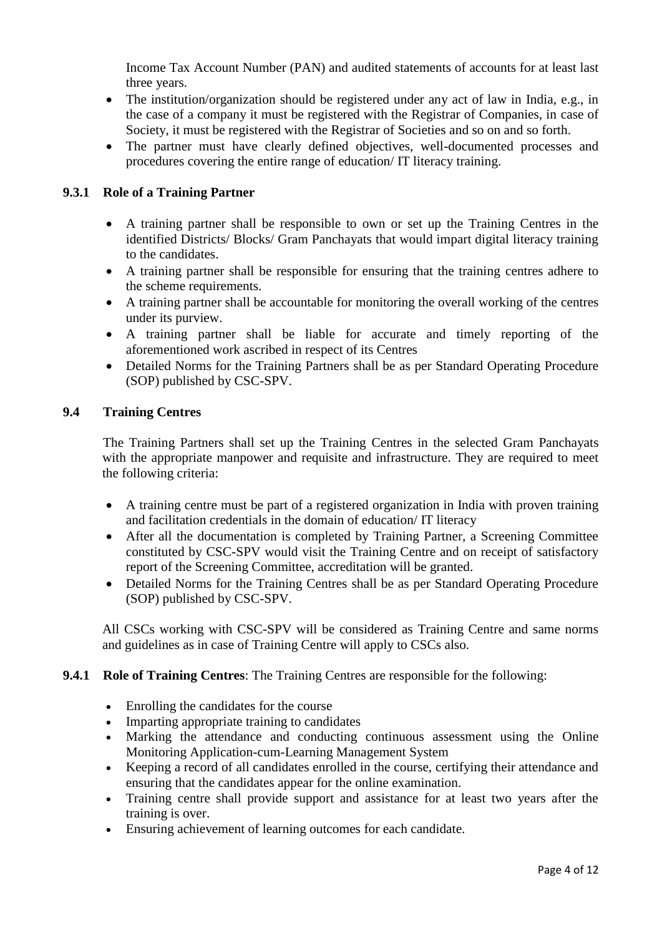Income Tax Account Number (PAN) and audited statements of accounts for at least last three years.

- The institution/organization should be registered under any act of law in India, e.g., in the case of a company it must be registered with the Registrar of Companies, in case of Society, it must be registered with the Registrar of Societies and so on and so forth.
- The partner must have clearly defined objectives, well-documented processes and procedures covering the entire range of education/ IT literacy training.

## **9.3.1 Role of a Training Partner**

- A training partner shall be responsible to own or set up the Training Centres in the identified Districts/ Blocks/ Gram Panchayats that would impart digital literacy training to the candidates.
- A training partner shall be responsible for ensuring that the training centres adhere to the scheme requirements.
- A training partner shall be accountable for monitoring the overall working of the centres under its purview.
- A training partner shall be liable for accurate and timely reporting of the aforementioned work ascribed in respect of its Centres
- Detailed Norms for the Training Partners shall be as per Standard Operating Procedure (SOP) published by CSC-SPV.

## **9.4 Training Centres**

The Training Partners shall set up the Training Centres in the selected Gram Panchayats with the appropriate manpower and requisite and infrastructure. They are required to meet the following criteria:

- A training centre must be part of a registered organization in India with proven training and facilitation credentials in the domain of education/ IT literacy
- After all the documentation is completed by Training Partner, a Screening Committee constituted by CSC-SPV would visit the Training Centre and on receipt of satisfactory report of the Screening Committee, accreditation will be granted.
- Detailed Norms for the Training Centres shall be as per Standard Operating Procedure (SOP) published by CSC-SPV.

All CSCs working with CSC-SPV will be considered as Training Centre and same norms and guidelines as in case of Training Centre will apply to CSCs also.

## **9.4.1 Role of Training Centres**: The Training Centres are responsible for the following:

- Enrolling the candidates for the course
- Imparting appropriate training to candidates
- Marking the attendance and conducting continuous assessment using the Online Monitoring Application-cum-Learning Management System
- Keeping a record of all candidates enrolled in the course, certifying their attendance and ensuring that the candidates appear for the online examination.
- Training centre shall provide support and assistance for at least two years after the training is over.
- Ensuring achievement of learning outcomes for each candidate.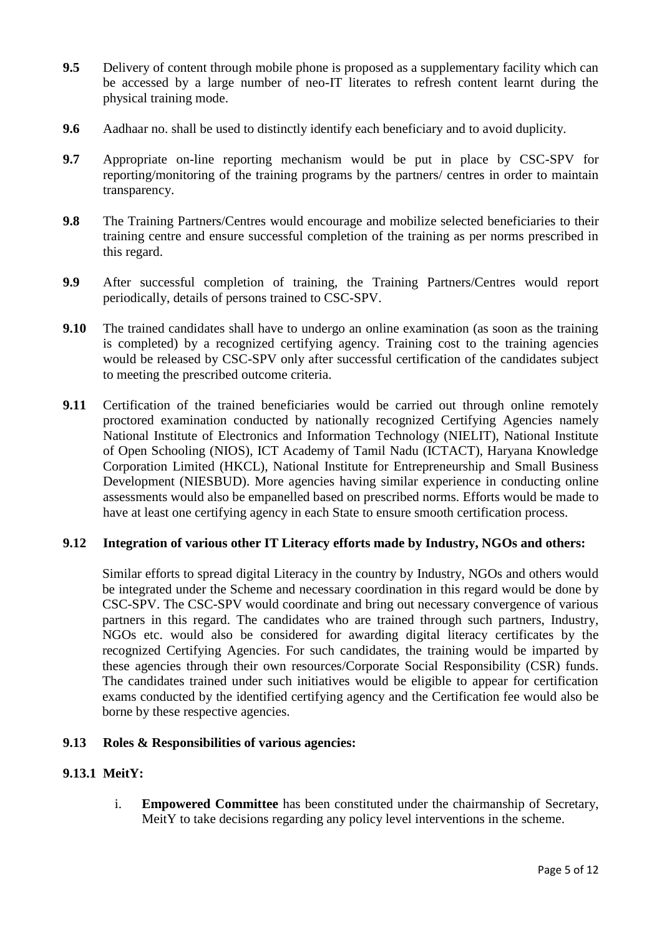- **9.5** Delivery of content through mobile phone is proposed as a supplementary facility which can be accessed by a large number of neo-IT literates to refresh content learnt during the physical training mode.
- **9.6** Aadhaar no. shall be used to distinctly identify each beneficiary and to avoid duplicity.
- **9.7** Appropriate on-line reporting mechanism would be put in place by CSC-SPV for reporting/monitoring of the training programs by the partners/ centres in order to maintain transparency.
- **9.8** The Training Partners/Centres would encourage and mobilize selected beneficiaries to their training centre and ensure successful completion of the training as per norms prescribed in this regard.
- **9.9** After successful completion of training, the Training Partners/Centres would report periodically, details of persons trained to CSC-SPV.
- **9.10** The trained candidates shall have to undergo an online examination (as soon as the training is completed) by a recognized certifying agency. Training cost to the training agencies would be released by CSC-SPV only after successful certification of the candidates subject to meeting the prescribed outcome criteria.
- **9.11** Certification of the trained beneficiaries would be carried out through online remotely proctored examination conducted by nationally recognized Certifying Agencies namely National Institute of Electronics and Information Technology (NIELIT), National Institute of Open Schooling (NIOS), ICT Academy of Tamil Nadu (ICTACT), Haryana Knowledge Corporation Limited (HKCL), National Institute for Entrepreneurship and Small Business Development (NIESBUD). More agencies having similar experience in conducting online assessments would also be empanelled based on prescribed norms. Efforts would be made to have at least one certifying agency in each State to ensure smooth certification process.

### **9.12 Integration of various other IT Literacy efforts made by Industry, NGOs and others:**

Similar efforts to spread digital Literacy in the country by Industry, NGOs and others would be integrated under the Scheme and necessary coordination in this regard would be done by CSC-SPV. The CSC-SPV would coordinate and bring out necessary convergence of various partners in this regard. The candidates who are trained through such partners, Industry, NGOs etc. would also be considered for awarding digital literacy certificates by the recognized Certifying Agencies. For such candidates, the training would be imparted by these agencies through their own resources/Corporate Social Responsibility (CSR) funds. The candidates trained under such initiatives would be eligible to appear for certification exams conducted by the identified certifying agency and the Certification fee would also be borne by these respective agencies.

### **9.13 Roles & Responsibilities of various agencies:**

### **9.13.1 MeitY:**

i. **Empowered Committee** has been constituted under the chairmanship of Secretary, MeitY to take decisions regarding any policy level interventions in the scheme.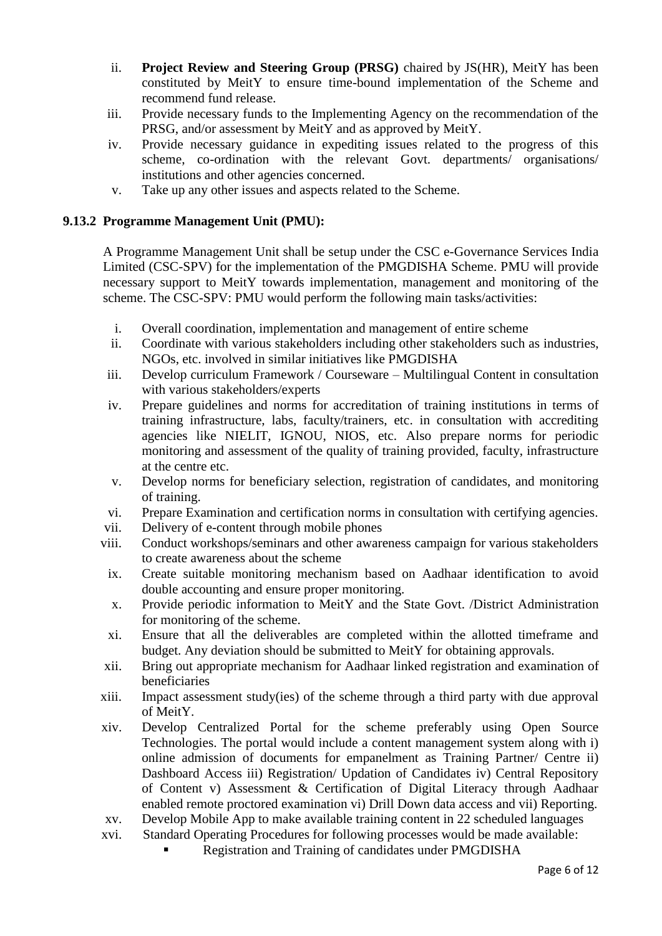- ii. **Project Review and Steering Group (PRSG)** chaired by JS(HR), MeitY has been constituted by MeitY to ensure time-bound implementation of the Scheme and recommend fund release.
- iii. Provide necessary funds to the Implementing Agency on the recommendation of the PRSG, and/or assessment by MeitY and as approved by MeitY.
- iv. Provide necessary guidance in expediting issues related to the progress of this scheme, co-ordination with the relevant Govt. departments/ organisations/ institutions and other agencies concerned.
- v. Take up any other issues and aspects related to the Scheme.

## **9.13.2 Programme Management Unit (PMU):**

A Programme Management Unit shall be setup under the CSC e-Governance Services India Limited (CSC-SPV) for the implementation of the PMGDISHA Scheme. PMU will provide necessary support to MeitY towards implementation, management and monitoring of the scheme. The CSC-SPV: PMU would perform the following main tasks/activities:

- i. Overall coordination, implementation and management of entire scheme
- ii. Coordinate with various stakeholders including other stakeholders such as industries, NGOs, etc. involved in similar initiatives like PMGDISHA
- iii. Develop curriculum Framework / Courseware Multilingual Content in consultation with various stakeholders/experts
- iv. Prepare guidelines and norms for accreditation of training institutions in terms of training infrastructure, labs, faculty/trainers, etc. in consultation with accrediting agencies like NIELIT, IGNOU, NIOS, etc. Also prepare norms for periodic monitoring and assessment of the quality of training provided, faculty, infrastructure at the centre etc.
- v. Develop norms for beneficiary selection, registration of candidates, and monitoring of training.
- vi. Prepare Examination and certification norms in consultation with certifying agencies.
- vii. Delivery of e-content through mobile phones
- viii. Conduct workshops/seminars and other awareness campaign for various stakeholders to create awareness about the scheme
- ix. Create suitable monitoring mechanism based on Aadhaar identification to avoid double accounting and ensure proper monitoring.
- x. Provide periodic information to MeitY and the State Govt. /District Administration for monitoring of the scheme.
- xi. Ensure that all the deliverables are completed within the allotted timeframe and budget. Any deviation should be submitted to MeitY for obtaining approvals.
- xii. Bring out appropriate mechanism for Aadhaar linked registration and examination of beneficiaries
- xiii. Impact assessment study(ies) of the scheme through a third party with due approval of MeitY.
- xiv. Develop Centralized Portal for the scheme preferably using Open Source Technologies. The portal would include a content management system along with i) online admission of documents for empanelment as Training Partner/ Centre ii) Dashboard Access iii) Registration/ Updation of Candidates iv) Central Repository of Content v) Assessment & Certification of Digital Literacy through Aadhaar enabled remote proctored examination vi) Drill Down data access and vii) Reporting.
- xv. Develop Mobile App to make available training content in 22 scheduled languages xvi. Standard Operating Procedures for following processes would be made available:
	- Registration and Training of candidates under PMGDISHA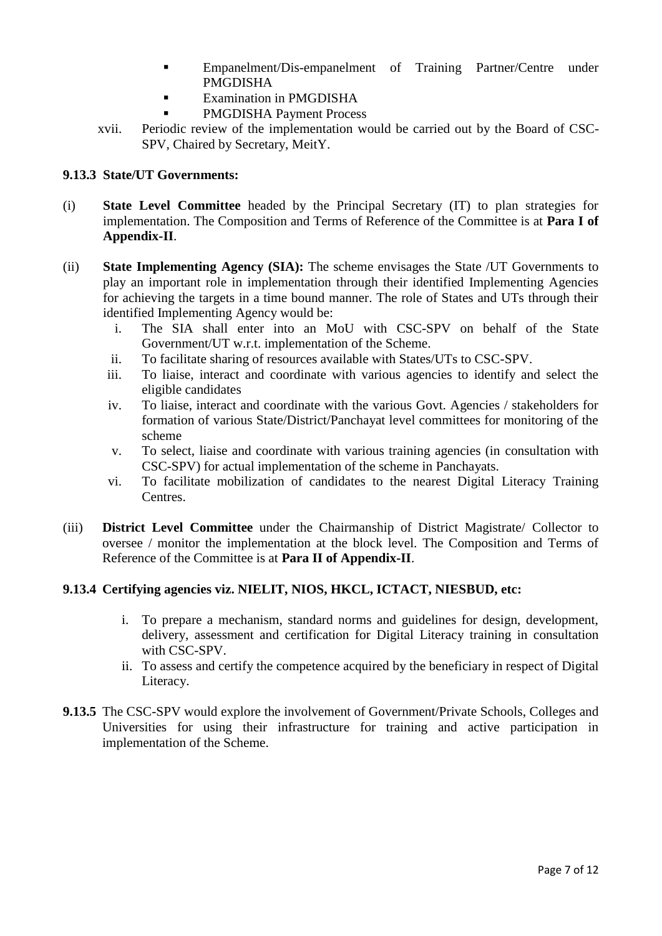- Empanelment/Dis-empanelment of Training Partner/Centre under PMGDISHA
- **Examination in PMGDISHA**
- PMGDISHA Payment Process
- xvii. Periodic review of the implementation would be carried out by the Board of CSC-SPV, Chaired by Secretary, MeitY.

### **9.13.3 State/UT Governments:**

- (i) **State Level Committee** headed by the Principal Secretary (IT) to plan strategies for implementation. The Composition and Terms of Reference of the Committee is at **Para I of Appendix-II**.
- (ii) **State Implementing Agency (SIA):** The scheme envisages the State /UT Governments to play an important role in implementation through their identified Implementing Agencies for achieving the targets in a time bound manner. The role of States and UTs through their identified Implementing Agency would be:
	- i. The SIA shall enter into an MoU with CSC-SPV on behalf of the State Government/UT w.r.t. implementation of the Scheme.
	- ii. To facilitate sharing of resources available with States/UTs to CSC-SPV.
	- iii. To liaise, interact and coordinate with various agencies to identify and select the eligible candidates
	- iv. To liaise, interact and coordinate with the various Govt. Agencies / stakeholders for formation of various State/District/Panchayat level committees for monitoring of the scheme
	- v. To select, liaise and coordinate with various training agencies (in consultation with CSC-SPV) for actual implementation of the scheme in Panchayats.
	- vi. To facilitate mobilization of candidates to the nearest Digital Literacy Training Centres.
- (iii) **District Level Committee** under the Chairmanship of District Magistrate/ Collector to oversee / monitor the implementation at the block level. The Composition and Terms of Reference of the Committee is at **Para II of Appendix-II**.

### **9.13.4 Certifying agencies viz. NIELIT, NIOS, HKCL, ICTACT, NIESBUD, etc:**

- i. To prepare a mechanism, standard norms and guidelines for design, development, delivery, assessment and certification for Digital Literacy training in consultation with CSC-SPV.
- ii. To assess and certify the competence acquired by the beneficiary in respect of Digital Literacy.
- **9.13.5** The CSC-SPV would explore the involvement of Government/Private Schools, Colleges and Universities for using their infrastructure for training and active participation in implementation of the Scheme.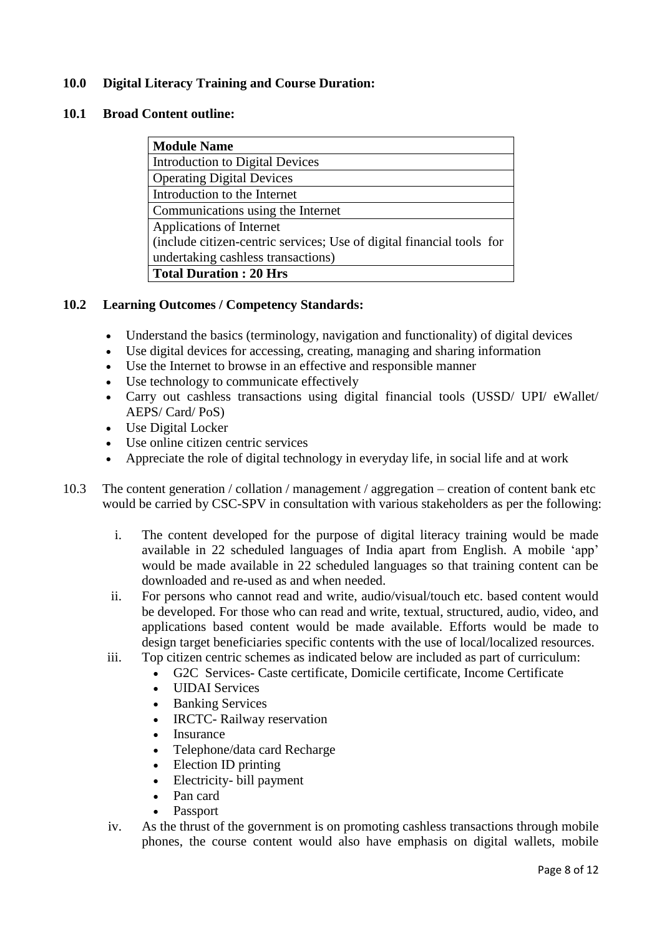## **10.0 Digital Literacy Training and Course Duration:**

#### **10.1 Broad Content outline:**

| <b>Module Name</b>                                                    |
|-----------------------------------------------------------------------|
| Introduction to Digital Devices                                       |
| <b>Operating Digital Devices</b>                                      |
| Introduction to the Internet                                          |
| Communications using the Internet                                     |
| Applications of Internet                                              |
| (include citizen-centric services; Use of digital financial tools for |
| undertaking cashless transactions)                                    |
| <b>Total Duration: 20 Hrs</b>                                         |

### **10.2 Learning Outcomes / Competency Standards:**

- Understand the basics (terminology, navigation and functionality) of digital devices
- Use digital devices for accessing, creating, managing and sharing information
- Use the Internet to browse in an effective and responsible manner
- Use technology to communicate effectively
- Carry out cashless transactions using digital financial tools (USSD/ UPI/ eWallet/ AEPS/ Card/ PoS)
- Use Digital Locker
- Use online citizen centric services
- Appreciate the role of digital technology in everyday life, in social life and at work
- 10.3 The content generation / collation / management / aggregation creation of content bank etc would be carried by CSC-SPV in consultation with various stakeholders as per the following:
	- i. The content developed for the purpose of digital literacy training would be made available in 22 scheduled languages of India apart from English. A mobile 'app' would be made available in 22 scheduled languages so that training content can be downloaded and re-used as and when needed.
	- ii. For persons who cannot read and write, audio/visual/touch etc. based content would be developed. For those who can read and write, textual, structured, audio, video, and applications based content would be made available. Efforts would be made to design target beneficiaries specific contents with the use of local/localized resources.
	- iii. Top citizen centric schemes as indicated below are included as part of curriculum:
		- G2C Services- Caste certificate, Domicile certificate, Income Certificate
		- UIDAI Services
		- Banking Services
		- IRCTC- Railway reservation
		- Insurance
		- Telephone/data card Recharge
		- Election ID printing
		- Electricity- bill payment
		- Pan card
		- **Passport**
	- iv. As the thrust of the government is on promoting cashless transactions through mobile phones, the course content would also have emphasis on digital wallets, mobile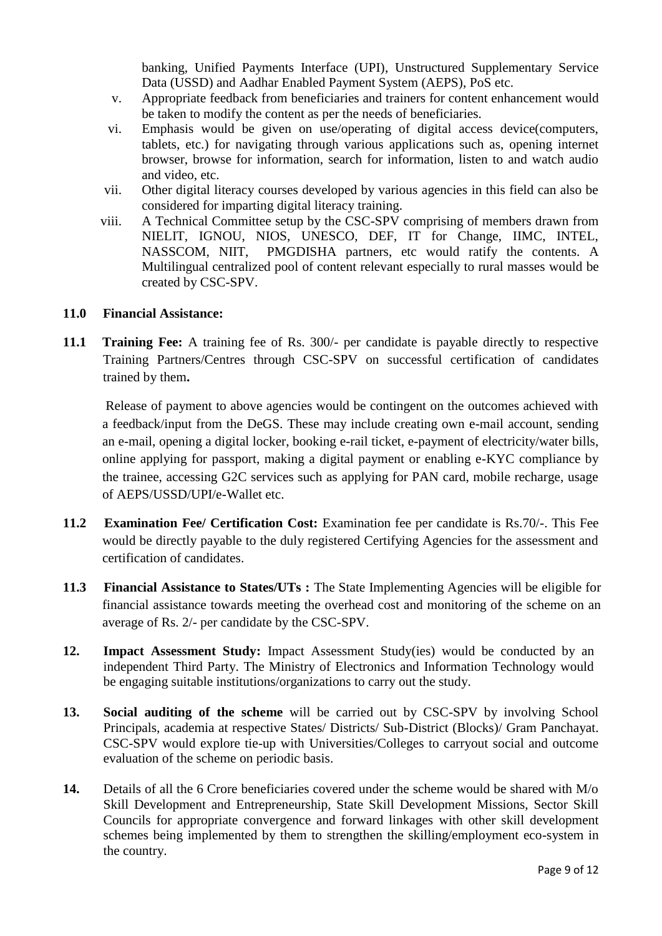banking, Unified Payments Interface (UPI), Unstructured Supplementary Service Data (USSD) and Aadhar Enabled Payment System (AEPS), PoS etc.

- v. Appropriate feedback from beneficiaries and trainers for content enhancement would be taken to modify the content as per the needs of beneficiaries.
- vi. Emphasis would be given on use/operating of digital access device(computers, tablets, etc.) for navigating through various applications such as, opening internet browser, browse for information, search for information, listen to and watch audio and video, etc.
- vii. Other digital literacy courses developed by various agencies in this field can also be considered for imparting digital literacy training.
- viii. A Technical Committee setup by the CSC-SPV comprising of members drawn from NIELIT, IGNOU, NIOS, UNESCO, DEF, IT for Change, IIMC, INTEL, NASSCOM, NIIT, PMGDISHA partners, etc would ratify the contents. A Multilingual centralized pool of content relevant especially to rural masses would be created by CSC-SPV.

## **11.0 Financial Assistance:**

**11.1 Training Fee:** A training fee of Rs. 300/- per candidate is payable directly to respective Training Partners/Centres through CSC-SPV on successful certification of candidates trained by them**.**

Release of payment to above agencies would be contingent on the outcomes achieved with a feedback/input from the DeGS. These may include creating own e-mail account, sending an e-mail, opening a digital locker, booking e-rail ticket, e-payment of electricity/water bills, online applying for passport, making a digital payment or enabling e-KYC compliance by the trainee, accessing G2C services such as applying for PAN card, mobile recharge, usage of AEPS/USSD/UPI/e-Wallet etc.

- **11.2 Examination Fee/ Certification Cost:** Examination fee per candidate is Rs.70/-. This Fee would be directly payable to the duly registered Certifying Agencies for the assessment and certification of candidates.
- **11.3 Financial Assistance to States/UTs :** The State Implementing Agencies will be eligible for financial assistance towards meeting the overhead cost and monitoring of the scheme on an average of Rs. 2/- per candidate by the CSC-SPV.
- **12. Impact Assessment Study:** Impact Assessment Study(ies) would be conducted by an independent Third Party. The Ministry of Electronics and Information Technology would be engaging suitable institutions/organizations to carry out the study.
- **13. Social auditing of the scheme** will be carried out by CSC-SPV by involving School Principals, academia at respective States/ Districts/ Sub-District (Blocks)/ Gram Panchayat. CSC-SPV would explore tie-up with Universities/Colleges to carryout social and outcome evaluation of the scheme on periodic basis.
- **14.** Details of all the 6 Crore beneficiaries covered under the scheme would be shared with M/o Skill Development and Entrepreneurship, State Skill Development Missions, Sector Skill Councils for appropriate convergence and forward linkages with other skill development schemes being implemented by them to strengthen the skilling/employment eco-system in the country.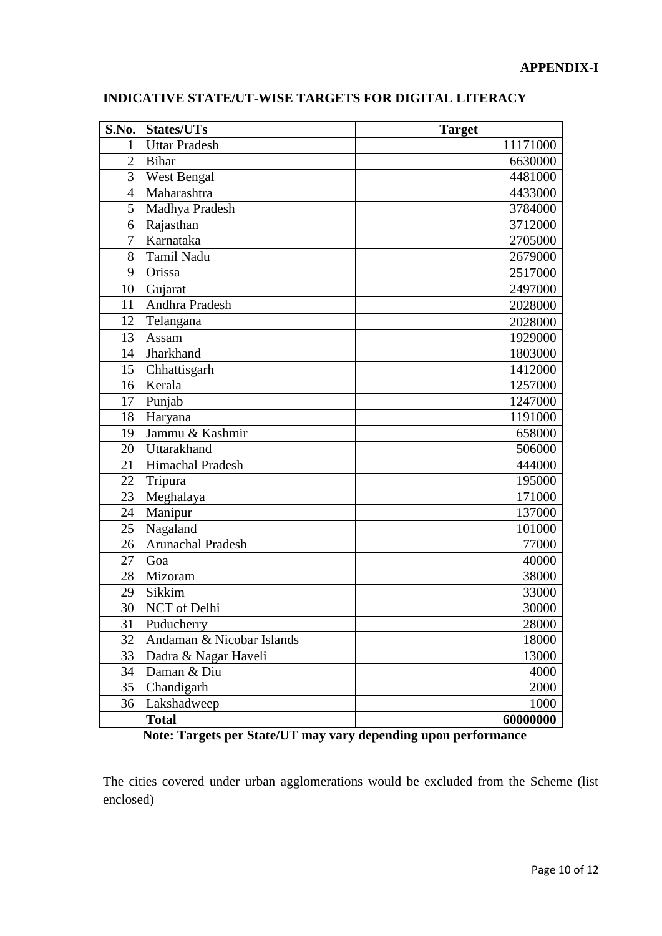| S.No.          | <b>States/UTs</b>         | <b>Target</b> |
|----------------|---------------------------|---------------|
| 1              | <b>Uttar Pradesh</b>      | 11171000      |
| $\overline{2}$ | <b>Bihar</b>              | 6630000       |
| 3              | West Bengal               | 4481000       |
| 4              | Maharashtra               | 4433000       |
| 5              | Madhya Pradesh            | 3784000       |
| 6              | Rajasthan                 | 3712000       |
| 7              | Karnataka                 | 2705000       |
| 8              | Tamil Nadu                | 2679000       |
| 9              | Orissa                    | 2517000       |
| 10             | Gujarat                   | 2497000       |
| 11             | Andhra Pradesh            | 2028000       |
| 12             | Telangana                 | 2028000       |
| 13             | Assam                     | 1929000       |
| 14             | <b>Jharkhand</b>          | 1803000       |
| 15             | Chhattisgarh              | 1412000       |
| 16             | Kerala                    | 1257000       |
| 17             | Punjab                    | 1247000       |
| 18             | Haryana                   | 1191000       |
| 19             | Jammu & Kashmir           | 658000        |
| 20             | Uttarakhand               | 506000        |
| 21             | Himachal Pradesh          | 444000        |
| 22             | Tripura                   | 195000        |
| 23             | Meghalaya                 | 171000        |
| 24             | Manipur                   | 137000        |
| 25             | Nagaland                  | 101000        |
| 26             | <b>Arunachal Pradesh</b>  | 77000         |
| 27             | Goa                       | 40000         |
| 28             | Mizoram                   | 38000         |
| 29             | Sikkim                    | 33000         |
| 30             | NCT of Delhi              | 30000         |
| 31             | Puducherry                | 28000         |
| 32             | Andaman & Nicobar Islands | 18000         |
| 33             | Dadra & Nagar Haveli      | 13000         |
| 34             | Daman & Diu               | 4000          |
| 35             | Chandigarh                | 2000          |
| 36             | Lakshadweep               | 1000          |
|                | <b>Total</b>              | 60000000      |

## **INDICATIVE STATE/UT-WISE TARGETS FOR DIGITAL LITERACY**

**Note: Targets per State/UT may vary depending upon performance**

The cities covered under urban agglomerations would be excluded from the Scheme (list enclosed)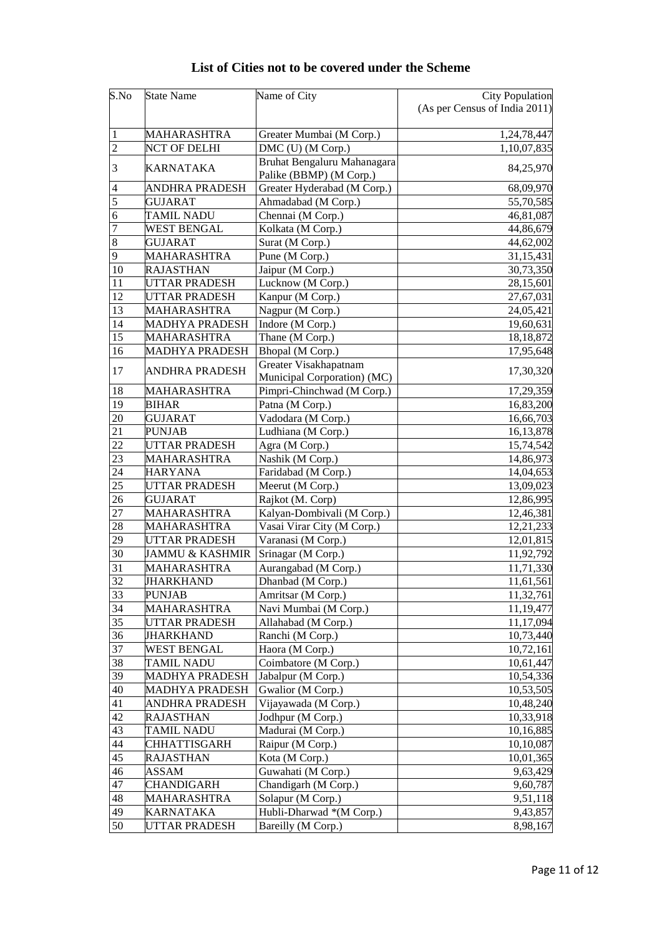| S.No            | <b>State Name</b>          | Name of City                | <b>City Population</b>        |
|-----------------|----------------------------|-----------------------------|-------------------------------|
|                 |                            |                             | (As per Census of India 2011) |
|                 |                            |                             |                               |
| 1               | MAHARASHTRA                | Greater Mumbai (M Corp.)    | 1,24,78,447                   |
| $\overline{2}$  | <b>NCT OF DELHI</b>        | DMC (U) (M Corp.)           | 1,10,07,835                   |
| 3               | KARNATAKA                  | Bruhat Bengaluru Mahanagara | 84,25,970                     |
|                 |                            | Palike (BBMP) (M Corp.)     |                               |
| 4               | ANDHRA PRADESH             | Greater Hyderabad (M Corp.) | 68,09,970                     |
| $\overline{5}$  | <b>GUJARAT</b>             | Ahmadabad (M Corp.)         | 55,70,585                     |
| 6               | <b>TAMIL NADU</b>          | Chennai (M Corp.)           | 46,81,087                     |
| 7               | <b>WEST BENGAL</b>         | Kolkata (M Corp.)           | 44,86,679                     |
| $\,8\,$         | <b>GUJARAT</b>             | Surat (M Corp.)             | 44,62,002                     |
| 9               | <b>MAHARASHTRA</b>         | Pune (M Corp.)              | 31,15,431                     |
| 10              | <b>RAJASTHAN</b>           | Jaipur (M Corp.)            | 30,73,350                     |
| 11              | UTTAR PRADESH              | Lucknow (M Corp.)           | 28,15,601                     |
| 12              | UTTAR PRADESH              | Kanpur (M Corp.)            | 27,67,031                     |
| 13              | MAHARASHTRA                | Nagpur (M Corp.)            | 24,05,421                     |
| 14              | MADHYA PRADESH             | Indore (M Corp.)            | 19,60,631                     |
| $\overline{15}$ | MAHARASHTRA                | Thane (M Corp.)             | 18,18,872                     |
| 16              | <b>MADHYA PRADESH</b>      | Bhopal (M Corp.)            | 17,95,648                     |
| 17              | <b>ANDHRA PRADESH</b>      | Greater Visakhapatnam       | 17,30,320                     |
|                 |                            | Municipal Corporation) (MC) |                               |
| 18              | MAHARASHTRA                | Pimpri-Chinchwad (M Corp.)  | 17,29,359                     |
| 19              | <b>BIHAR</b>               | Patna (M Corp.)             | 16,83,200                     |
| 20              | <b>GUJARAT</b>             | Vadodara (M Corp.)          | 16,66,703                     |
| 21              | <b>PUNJAB</b>              | Ludhiana (M Corp.)          | 16,13,878                     |
| $\overline{22}$ | UTTAR PRADESH              | Agra (M Corp.)              | 15,74,542                     |
| 23              | <b>MAHARASHTRA</b>         | Nashik (M Corp.)            | 14,86,973                     |
| 24              | <b>HARYANA</b>             | Faridabad (M Corp.)         | 14,04,653                     |
| 25              | UTTAR PRADESH              | Meerut (M Corp.)            | 13,09,023                     |
| 26              | <b>GUJARAT</b>             | Rajkot (M. Corp)            | 12,86,995                     |
| 27              | MAHARASHTRA                | Kalyan-Dombivali (M Corp.)  | 12,46,381                     |
| 28              | MAHARASHTRA                | Vasai Virar City (M Corp.)  | 12,21,233                     |
| 29              | UTTAR PRADESH              | Varanasi (M Corp.)          | 12,01,815                     |
| 30              | <b>JAMMU &amp; KASHMIR</b> | Srinagar (M Corp.)          | 11,92,792                     |
| 31              | <b>MAHARASHTRA</b>         | Aurangabad (M Corp.)        | 11,71,330                     |
| 32              | JHARKHAND                  | Dhanbad (M Corp.)           | 11,61,561                     |
| 33              | <b>PUNJAB</b>              | Amritsar (M Corp.)          | 11,32,761                     |
| 34              | MAHARASHTRA                | Navi Mumbai (M Corp.)       | 11,19,477                     |
| 35              | UTTAR PRADESH              | Allahabad (M Corp.)         | 11,17,094                     |
| 36              | JHARKHAND                  | Ranchi (M Corp.)            | 10,73,440                     |
| 37              | <b>WEST BENGAL</b>         | Haora (M Corp.)             | 10,72,161                     |
| 38              | <b>TAMIL NADU</b>          | Coimbatore (M Corp.)        | 10,61,447                     |
| 39              | MADHYA PRADESH             | Jabalpur (M Corp.)          | 10,54,336                     |
| 40              | MADHYA PRADESH             | Gwalior (M Corp.)           | 10,53,505                     |
| 41              | ANDHRA PRADESH             | Vijayawada (M Corp.)        | 10,48,240                     |
| 42              | RAJASTHAN                  | Jodhpur (M Corp.)           | 10,33,918                     |
| 43              | TAMIL NADU                 | Madurai (M Corp.)           | 10,16,885                     |
| 44              | <b>CHHATTISGARH</b>        | Raipur (M Corp.)            | 10,10,087                     |
| 45              | <b>RAJASTHAN</b>           | Kota (M Corp.)              | 10,01,365                     |
| 46              | ASSAM                      | Guwahati (M Corp.)          | 9,63,429                      |
| 47              | CHANDIGARH                 | Chandigarh (M Corp.)        | 9,60,787                      |
| 48              | MAHARASHTRA                | Solapur (M Corp.)           | 9,51,118                      |
| 49              | <b>KARNATAKA</b>           | Hubli-Dharwad *(M Corp.)    | 9,43,857                      |
| 50              | UTTAR PRADESH              | Bareilly (M Corp.)          | 8,98,167                      |

# **List of Cities not to be covered under the Scheme**